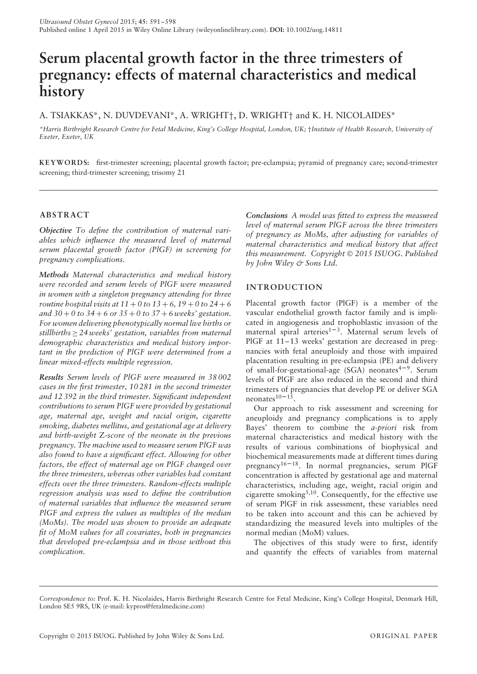# **Serum placental growth factor in the three trimesters of pregnancy: effects of maternal characteristics and medical history**

A. TSIAKKAS\*, N. DUVDEVANI\*, A. WRIGHT†, D. WRIGHT† and K. H. NICOLAIDES\*

*\*Harris Birthright Research Centre for Fetal Medicine, King's College Hospital, London, UK;* †*Institute of Health Research, University of Exeter, Exeter, UK*

**KEYWORD S:** first-trimester screening; placental growth factor; pre-eclampsia; pyramid of pregnancy care; second-trimester screening; third-trimester screening; trisomy 21

# **ABSTRACT**

*Objective To define the contribution of maternal variables which influence the measured level of maternal serum placental growth factor (PlGF) in screening for pregnancy complications.*

*Methods Maternal characteristics and medical history were recorded and serum levels of PlGF were measured in women with a singleton pregnancy attending for three routine hospital visits at*  $11 + 0$  *to*  $13 + 6$ ,  $19 + 0$  *to*  $24 + 6$ *and 30* + *0 to 34* + *6 or 35* + *0 to 37* + *6 weeks' gestation. For women delivering phenotypically normal live births or stillbirths* ≥ *24 weeks' gestation, variables from maternal demographic characteristics and medical history important in the prediction of PlGF were determined from a linear mixed-effects multiple regression.*

*Results Serum levels of PlGF were measured in 38 002 cases in the first trimester, 10 281 in the second trimester and 12 392 in the third trimester. Significant independent contributions to serum PlGF were provided by gestational age, maternal age, weight and racial origin, cigarette smoking, diabetes mellitus, and gestational age at delivery and birth-weight* Z*-score of the neonate in the previous pregnancy. The machine used to measure serum PlGF was also found to have a significant effect. Allowing for other factors, the effect of maternal age on PlGF changed over the three trimesters, whereas other variables had constant effects over the three trimesters. Random-effects multiple regression analysis was used to define the contribution of maternal variables that influence the measured serum PlGF and express the values as multiples of the median (MoMs). The model was shown to provide an adequate fit of MoM values for all covariates, both in pregnancies that developed pre-eclampsia and in those without this complication.*

*Conclusions A model was fitted to express the measured level of maternal serum PlGF across the three trimesters of pregnancy as MoMs, after adjusting for variables of maternal characteristics and medical history that affect this measurement. Copyright* © *2015 ISUOG. Published by John Wiley & Sons Ltd.*

# **INTRODUCTION**

Placental growth factor (PlGF) is a member of the vascular endothelial growth factor family and is implicated in angiogenesis and trophoblastic invasion of the maternal spiral arteries<sup>1-3</sup>. Maternal serum levels of PlGF at 11–13 weeks' gestation are decreased in pregnancies with fetal aneuploidy and those with impaired placentation resulting in pre-eclampsia (PE) and delivery of small-for-gestational-age (SGA) neonates<sup>4-9</sup>. Serum levels of PlGF are also reduced in the second and third trimesters of pregnancies that develop PE or deliver SGA neonates $10-15$ .

Our approach to risk assessment and screening for aneuploidy and pregnancy complications is to apply Bayes' theorem to combine the *a-priori* risk from maternal characteristics and medical history with the results of various combinations of biophysical and biochemical measurements made at different times during pregnancy16–18. In normal pregnancies, serum PlGF concentration is affected by gestational age and maternal characteristics, including age, weight, racial origin and cigarette smoking<sup>5,10</sup>. Consequently, for the effective use of serum PlGF in risk assessment, these variables need to be taken into account and this can be achieved by standardizing the measured levels into multiples of the normal median (MoM) values.

The objectives of this study were to first, identify and quantify the effects of variables from maternal

*Correspondence to:* Prof. K. H. Nicolaides, Harris Birthright Research Centre for Fetal Medicine, King's College Hospital, Denmark Hill, London SE5 9RS, UK (e-mail: kypros@fetalmedicine.com)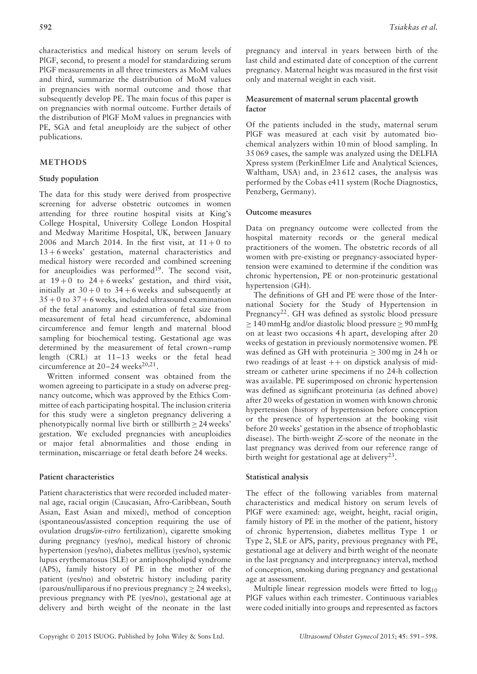characteristics and medical history on serum levels of PlGF, second, to present a model for standardizing serum PlGF measurements in all three trimesters as MoM values and third, summarize the distribution of MoM values in pregnancies with normal outcome and those that subsequently develop PE. The main focus of this paper is on pregnancies with normal outcome. Further details of the distribution of PlGF MoM values in pregnancies with PE, SGA and fetal aneuploidy are the subject of other publications.

# **METHODS**

#### **Study population**

The data for this study were derived from prospective screening for adverse obstetric outcomes in women attending for three routine hospital visits at King's College Hospital, University College London Hospital and Medway Maritime Hospital, UK, between January 2006 and March 2014. In the first visit, at  $11+0$  to 13 + 6 weeks' gestation, maternal characteristics and medical history were recorded and combined screening for aneuploidies was performed $19$ . The second visit, at  $19 + 0$  to  $24 + 6$  weeks' gestation, and third visit, initially at  $30 + 0$  to  $34 + 6$  weeks and subsequently at  $35 + 0$  to  $37 + 6$  weeks, included ultrasound examination of the fetal anatomy and estimation of fetal size from measurement of fetal head circumference, abdominal circumference and femur length and maternal blood sampling for biochemical testing. Gestational age was determined by the measurement of fetal crown–rump length (CRL) at 11–13 weeks or the fetal head circumference at  $20-24$  weeks<sup>20,21</sup>.

Written informed consent was obtained from the women agreeing to participate in a study on adverse pregnancy outcome, which was approved by the Ethics Committee of each participating hospital. The inclusion criteria for this study were a singleton pregnancy delivering a phenotypically normal live birth or stillbirth  $\geq$  24 weeks' gestation. We excluded pregnancies with aneuploidies or major fetal abnormalities and those ending in termination, miscarriage or fetal death before 24 weeks.

## **Patient characteristics**

Patient characteristics that were recorded included maternal age, racial origin (Caucasian, Afro-Caribbean, South Asian, East Asian and mixed), method of conception (spontaneous/assisted conception requiring the use of ovulation drugs/*in-vitro* fertilization), cigarette smoking during pregnancy (yes/no), medical history of chronic hypertension (yes/no), diabetes mellitus (yes/no), systemic lupus erythematosus (SLE) or antiphospholipid syndrome (APS), family history of PE in the mother of the patient (yes/no) and obstetric history including parity (parous/nulliparous if no previous pregnancy ≥ 24 weeks), previous pregnancy with PE (yes/no), gestational age at delivery and birth weight of the neonate in the last

pregnancy and interval in years between birth of the last child and estimated date of conception of the current pregnancy. Maternal height was measured in the first visit only and maternal weight in each visit.

## **Measurement of maternal serum placental growth factor**

Of the patients included in the study, maternal serum PlGF was measured at each visit by automated biochemical analyzers within 10 min of blood sampling. In 35 069 cases, the sample was analyzed using the DELFIA Xpress system (PerkinElmer Life and Analytical Sciences, Waltham, USA) and, in 23 612 cases, the analysis was performed by the Cobas e411 system (Roche Diagnostics, Penzberg, Germany).

#### **Outcome measures**

Data on pregnancy outcome were collected from the hospital maternity records or the general medical practitioners of the women. The obstetric records of all women with pre-existing or pregnancy-associated hypertension were examined to determine if the condition was chronic hypertension, PE or non-proteinuric gestational hypertension (GH).

The definitions of GH and PE were those of the International Society for the Study of Hypertension in Pregnancy<sup>22</sup>. GH was defined as systolic blood pressure  $\geq$  140 mmHg and/or diastolic blood pressure  $\geq$  90 mmHg on at least two occasions 4 h apart, developing after 20 weeks of gestation in previously normotensive women. PE was defined as GH with proteinuria  $\geq$  300 mg in 24 h or two readings of at least  $++$  on dipstick analysis of midstream or catheter urine specimens if no 24-h collection was available. PE superimposed on chronic hypertension was defined as significant proteinuria (as defined above) after 20 weeks of gestation in women with known chronic hypertension (history of hypertension before conception or the presence of hypertension at the booking visit before 20 weeks' gestation in the absence of trophoblastic disease). The birth-weight *Z*-score of the neonate in the last pregnancy was derived from our reference range of birth weight for gestational age at delivery<sup>23</sup>.

## **Statistical analysis**

The effect of the following variables from maternal characteristics and medical history on serum levels of PlGF were examined: age, weight, height, racial origin, family history of PE in the mother of the patient, history of chronic hypertension, diabetes mellitus Type 1 or Type 2, SLE or APS, parity, previous pregnancy with PE, gestational age at delivery and birth weight of the neonate in the last pregnancy and interpregnancy interval, method of conception, smoking during pregnancy and gestational age at assessment.

Multiple linear regression models were fitted to  $log_{10}$ PlGF values within each trimester. Continuous variables were coded initially into groups and represented as factors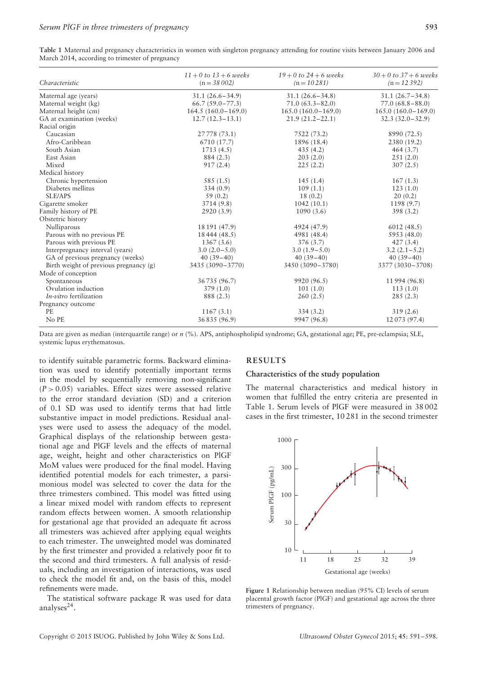|                                        | $11 + 0$ to $13 + 6$ weeks | $19 + 0$ to $24 + 6$ weeks | $30 + 0$ to $37 + 6$ weeks |
|----------------------------------------|----------------------------|----------------------------|----------------------------|
| Characteristic                         | $(n = 38002)$              | $(n = 10281)$              | $(n = 12392)$              |
| Maternal age (years)                   | $31.1(26.6 - 34.9)$        | $31.1 (26.6 - 34.8)$       | $31.1 (26.7 - 34.8)$       |
| Maternal weight (kg)                   | $66.7(59.0 - 77.3)$        | $71.0(63.3 - 82.0)$        | $77.0(68.8 - 88.0)$        |
| Maternal height (cm)                   | $164.5(160.0-169.0)$       | $165.0(160.0-169.0)$       | $165.0(160.0-169.0)$       |
| GA at examination (weeks)              | $12.7(12.3-13.1)$          | $21.9(21.2 - 22.1)$        | $32.3(32.0-32.9)$          |
| Racial origin                          |                            |                            |                            |
| Caucasian                              | 27778 (73.1)               | 7522 (73.2)                | 8990 (72.5)                |
| Afro-Caribbean                         | 6710 (17.7)                | 1896 (18.4)                | 2380 (19.2)                |
| South Asian                            | 1713(4.5)                  | 435(4.2)                   | 464(3.7)                   |
| East Asian                             | 884 (2.3)                  | 203(2.0)                   | 251(2.0)                   |
| Mixed                                  | 917(2.4)                   | 225(2.2)                   | 307(2.5)                   |
| Medical history                        |                            |                            |                            |
| Chronic hypertension                   | 585 (1.5)                  | 145(1.4)                   | 167(1.3)                   |
| Diabetes mellitus                      | 334(0.9)                   | 109(1.1)                   | 123(1.0)                   |
| <b>SLE/APS</b>                         | 59(0.2)                    | 18(0.2)                    | 20(0.2)                    |
| Cigarette smoker                       | 3714 (9.8)                 | 1042(10.1)                 | 1198 (9.7)                 |
| Family history of PE                   | 2920(3.9)                  | 1090(3.6)                  | 398(3.2)                   |
| Obstetric history                      |                            |                            |                            |
| Nulliparous                            | 18 191 (47.9)              | 4924 (47.9)                | 6012(48.5)                 |
| Parous with no previous PE             | 18444 (48.5)               | 4981 (48.4)                | 5953 (48.0)                |
| Parous with previous PE                | 1367(3.6)                  | 376(3.7)                   | 427(3.4)                   |
| Interpregnancy interval (years)        | $3.0(2.0-5.0)$             | $3.0(1.9-5.0)$             | $3.2(2.1-5.2)$             |
| GA of previous pregnancy (weeks)       | $40(39-40)$                | $40(39 - 40)$              | $40(39-40)$                |
| Birth weight of previous pregnancy (g) | 3435 (3090-3770)           | 3450 (3090-3780)           | 3377 (3030-3708)           |
| Mode of conception                     |                            |                            |                            |
| Spontaneous                            | 36735 (96.7)               | 9920 (96.5)                | 11994 (96.8)               |
| Ovulation induction                    | 379(1.0)                   | 101(1.0)                   | 113(1.0)                   |
| <i>In-vitro</i> fertilization          | 888 (2.3)                  | 260(2.5)                   | 285(2.3)                   |
| Pregnancy outcome                      |                            |                            |                            |
| <b>PE</b>                              | 1167(3.1)                  | 334(3.2)                   | 319(2.6)                   |
| No PE                                  | 36835 (96.9)               | 9947 (96.8)                | 12073 (97.4)               |

**Table 1** Maternal and pregnancy characteristics in women with singleton pregnancy attending for routine visits between January 2006 and March 2014, according to trimester of pregnancy

Data are given as median (interquartile range) or *n* (%). APS, antiphospholipid syndrome; GA, gestational age; PE, pre-eclampsia; SLE, systemic lupus erythematosus.

to identify suitable parametric forms. Backward elimination was used to identify potentially important terms in the model by sequentially removing non-significant  $(P > 0.05)$  variables. Effect sizes were assessed relative to the error standard deviation (SD) and a criterion of 0.1 SD was used to identify terms that had little substantive impact in model predictions. Residual analyses were used to assess the adequacy of the model. Graphical displays of the relationship between gestational age and PlGF levels and the effects of maternal age, weight, height and other characteristics on PlGF MoM values were produced for the final model. Having identified potential models for each trimester, a parsimonious model was selected to cover the data for the three trimesters combined. This model was fitted using a linear mixed model with random effects to represent random effects between women. A smooth relationship for gestational age that provided an adequate fit across all trimesters was achieved after applying equal weights to each trimester. The unweighted model was dominated by the first trimester and provided a relatively poor fit to the second and third trimesters. A full analysis of residuals, including an investigation of interactions, was used to check the model fit and, on the basis of this, model refinements were made.

The statistical software package R was used for data analyses $^{24}$ .

# **RESULTS**

## **Characteristics of the study population**

The maternal characteristics and medical history in women that fulfilled the entry criteria are presented in Table 1. Serum levels of PlGF were measured in 38 002 cases in the first trimester, 10 281 in the second trimester



**Figure 1** Relationship between median (95% CI) levels of serum placental growth factor (PlGF) and gestational age across the three trimesters of pregnancy.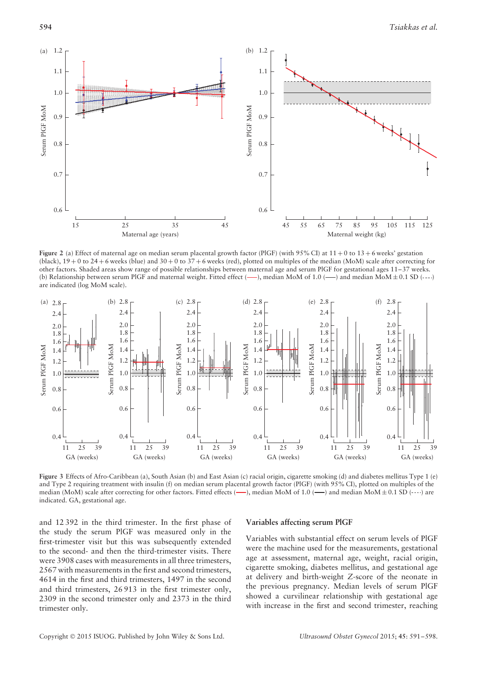

**Figure 2** (a) Effect of maternal age on median serum placental growth factor (PIGF) (with 95% CI) at 11 + 0 to 13 + 6 weeks' gestation (black),  $19 + 0$  to  $24 + 6$  weeks (blue) and  $30 + 0$  to  $37 + 6$  weeks (red), plotted on multiples of the median (MoM) scale after correcting for other factors. Shaded areas show range of possible relationships between maternal age and serum PlGF for gestational ages 11–37 weeks. (b) Relationship between serum PlGF and maternal weight. Fitted effect  $(\text{---})$ , median MoM of 1.0  $(\text{---})$  and median MoM $\pm$  0.1 SD  $(\text{---})$ are indicated (log MoM scale).



**Figure 3** Effects of Afro-Caribbean (a), South Asian (b) and East Asian (c) racial origin, cigarette smoking (d) and diabetes mellitus Type 1 (e) and Type 2 requiring treatment with insulin (f) on median serum placental growth factor (PlGF) (with 95% CI), plotted on multiples of the median (MoM) scale after correcting for other factors. Fitted effects ( $\longrightarrow$ ), median MoM of 1.0 ( $\longrightarrow$ ) and median MoM $\pm$  0.1 SD (----) are indicated. GA, gestational age.

and 12 392 in the third trimester. In the first phase of the study the serum PlGF was measured only in the first-trimester visit but this was subsequently extended to the second- and then the third-trimester visits. There were 3908 cases with measurements in all three trimesters, 2567 with measurements in the first and second trimesters, 4614 in the first and third trimesters, 1497 in the second and third trimesters, 26 913 in the first trimester only, 2309 in the second trimester only and 2373 in the third trimester only.

#### **Variables affecting serum PlGF**

Variables with substantial effect on serum levels of PlGF were the machine used for the measurements, gestational age at assessment, maternal age, weight, racial origin, cigarette smoking, diabetes mellitus, and gestational age at delivery and birth-weight *Z*-score of the neonate in the previous pregnancy. Median levels of serum PlGF showed a curvilinear relationship with gestational age with increase in the first and second trimester, reaching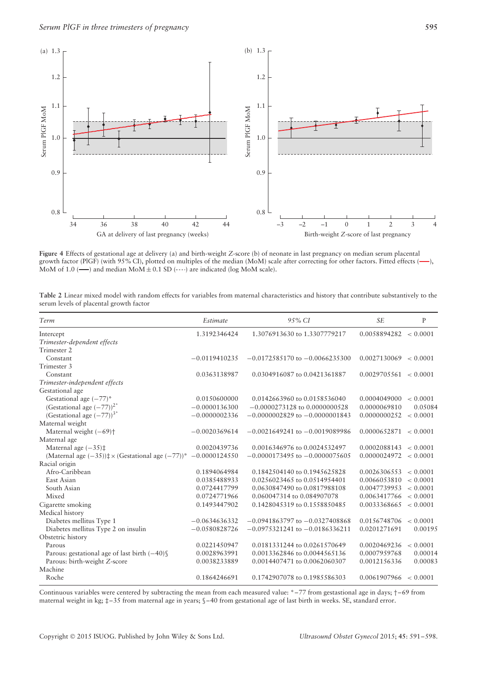

**Figure 4** Effects of gestational age at delivery (a) and birth-weight *Z*-score (b) of neonate in last pregnancy on median serum placental growth factor (PIGF) (with 95% CI), plotted on multiples of the median (MoM) scale after correcting for other factors. Fitted effects (-), MoM of 1.0 ( $\longrightarrow$ ) and median MoM  $\pm$  0.1 SD (----) are indicated (log MoM scale).

| Table 2 Linear mixed model with random effects for variables from maternal characteristics and history that contribute substantively to the |  |  |  |  |  |
|---------------------------------------------------------------------------------------------------------------------------------------------|--|--|--|--|--|
| serum levels of placental growth factor                                                                                                     |  |  |  |  |  |

| Term                                                                       | Estimate        | 9.5% CI                            | <b>SE</b>             | P        |
|----------------------------------------------------------------------------|-----------------|------------------------------------|-----------------------|----------|
| Intercept                                                                  | 1.3192346424    | 1.3076913630 to 1.3307779217       | 0.0058894282 < 0.0001 |          |
| Trimester-dependent effects                                                |                 |                                    |                       |          |
| Trimester 2                                                                |                 |                                    |                       |          |
| Constant                                                                   | $-0.0119410235$ | $-0.0172585170$ to $-0.0066235300$ | 0.0027130069          | < 0.0001 |
| Trimester 3                                                                |                 |                                    |                       |          |
| Constant                                                                   | 0.0363138987    | 0.0304916087 to 0.0421361887       | 0.0029705561 < 0.0001 |          |
| Trimester-independent effects                                              |                 |                                    |                       |          |
| Gestational age                                                            |                 |                                    |                       |          |
| Gestational age $(-77)^*$                                                  | 0.0150600000    | 0.0142663960 to 0.0158536040       | 0.0004049000          | < 0.0001 |
| (Gestational age $(-77)$ ) <sup>2*</sup>                                   | $-0.0000136300$ | $-0.0000273128$ to $0.0000000528$  | 0.0000069810          | 0.05084  |
| (Gestational age $(-77)$ ) <sup>3*</sup>                                   | $-0.0000002336$ | $-0.0000002829$ to $-0.0000001843$ | 0.0000000252          | < 0.0001 |
| Maternal weight                                                            |                 |                                    |                       |          |
| Maternal weight $(-69)$ <sup>+</sup>                                       | $-0.0020369614$ | $-0.0021649241$ to $-0.0019089986$ | 0.0000652871          | < 0.0001 |
| Maternal age                                                               |                 |                                    |                       |          |
| Maternal age $(-35)$ ‡                                                     | 0.0020439736    | 0.0016346976 to 0.0024532497       | 0.0002088143          | < 0.0001 |
| (Maternal age $(-35)$ ) $\neq$ × (Gestational age $(-77)$ )* -0.0000124550 |                 | $-0.0000173495$ to $-0.0000075605$ | 0.0000024972          | < 0.0001 |
| Racial origin                                                              |                 |                                    |                       |          |
| Afro-Caribbean                                                             | 0.1894064984    | 0.1842504140 to 0.1945625828       | 0.0026306553          | < 0.0001 |
| East Asian                                                                 | 0.0385488933    | 0.0256023465 to 0.0514954401       | 0.0066053810          | < 0.0001 |
| South Asian                                                                | 0.0724417799    | 0.0630847490 to 0.0817988108       | 0.0047739953          | < 0.0001 |
| Mixed                                                                      | 0.0724771966    | 0.060047314 to 0.084907078         | 0.0063417766          | < 0.0001 |
| Cigarette smoking                                                          | 0.1493447902    | 0.1428045319 to 0.1558850485       | 0.0033368665          | < 0.0001 |
| Medical history                                                            |                 |                                    |                       |          |
| Diabetes mellitus Type 1                                                   | $-0.0634636332$ | $-0.0941863797$ to $-0.0327408868$ | 0.0156748706          | < 0.0001 |
| Diabetes mellitus Type 2 on insulin                                        | $-0.0580828726$ | $-0.0975321241$ to $-0.0186336211$ | 0.0201271691          | 0.00195  |
| Obstetric history                                                          |                 |                                    |                       |          |
| Parous                                                                     | 0.0221450947    | 0.0181331244 to 0.0261570649       | 0.0020469236          | < 0.0001 |
| Parous: gestational age of last birth $(-40)$                              | 0.0028963991    | 0.0013362846 to 0.0044565136       | 0.0007959768          | 0.00014  |
| Parous: birth-weight Z-score                                               | 0.0038233889    | 0.0014407471 to 0.0062060307       | 0.0012156336          | 0.00083  |
| Machine                                                                    |                 |                                    |                       |          |
| Roche                                                                      | 0.1864246691    | 0.1742907078 to 0.1985586303       | 0.0061907966 < 0.0001 |          |

Continuous variables were centered by subtracting the mean from each measured value: \*–77 from gestastional age in days; †–69 from maternal weight in kg; ‡–35 from maternal age in years; §–40 from gestational age of last birth in weeks. SE, standard error.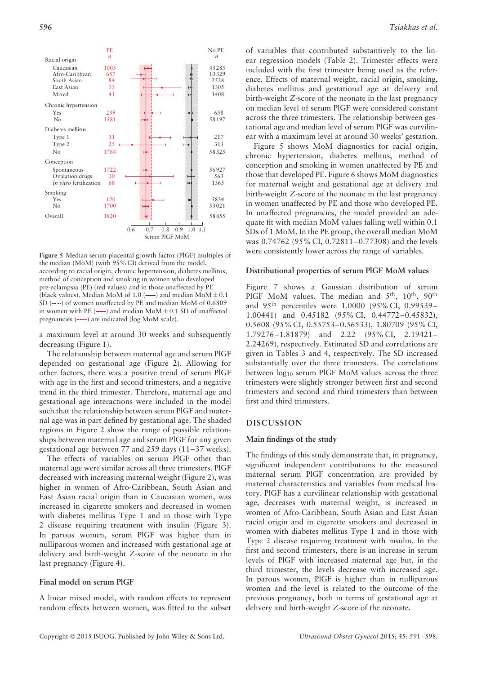

**Figure 5** Median serum placental growth factor (PlGF) multiples of the median (MoM) (with 95% CI) derived from the model, according to racial origin, chronic hypertension, diabetes mellitus, method of conception and smoking in women who developed pre-eclampsia (PE) (red values) and in those unaffected by PE (black values). Median MoM of 1.0 ( $\longrightarrow$ ) and median MoM  $\pm$  0.1 SD  $(-\cdots)$  of women unaffected by PE and median MoM of 0.6809 in women with PE  $(\longrightarrow)$  and median MoM  $\pm$  0.1 SD of unaffected pregnancies (----) are indicated (log MoM scale).

a maximum level at around 30 weeks and subsequently decreasing (Figure 1).

The relationship between maternal age and serum PlGF depended on gestational age (Figure 2). Allowing for other factors, there was a positive trend of serum PlGF with age in the first and second trimesters, and a negative trend in the third trimester. Therefore, maternal age and gestational age interactions were included in the model such that the relationship between serum PlGF and maternal age was in part defined by gestational age. The shaded regions in Figure 2 show the range of possible relationships between maternal age and serum PlGF for any given gestational age between 77 and 259 days (11–37 weeks).

The effects of variables on serum PlGF other than maternal age were similar across all three trimesters. PlGF decreased with increasing maternal weight (Figure 2), was higher in women of Afro-Caribbean, South Asian and East Asian racial origin than in Caucasian women, was increased in cigarette smokers and decreased in women with diabetes mellitus Type 1 and in those with Type 2 disease requiring treatment with insulin (Figure 3). In parous women, serum PlGF was higher than in nulliparous women and increased with gestational age at delivery and birth-weight *Z*-score of the neonate in the last pregnancy (Figure 4).

## **Final model on serum PlGF**

A linear mixed model, with random effects to represent random effects between women, was fitted to the subset

of variables that contributed substantively to the linear regression models (Table 2). Trimester effects were included with the first trimester being used as the reference. Effects of maternal weight, racial origin, smoking, diabetes mellitus and gestational age at delivery and birth-weight *Z*-score of the neonate in the last pregnancy on median level of serum PlGF were considered constant across the three trimesters. The relationship between gestational age and median level of serum PlGF was curvilinear with a maximum level at around 30 weeks' gestation.

Figure 5 shows MoM diagnostics for racial origin, chronic hypertension, diabetes mellitus, method of conception and smoking in women unaffected by PE and those that developed PE. Figure 6 shows MoM diagnostics for maternal weight and gestational age at delivery and birth-weight *Z*-score of the neonate in the last pregnancy in women unaffected by PE and those who developed PE. In unaffected pregnancies, the model provided an adequate fit with median MoM values falling well within 0.1 SDs of 1 MoM. In the PE group, the overall median MoM was 0.74762 (95% CI, 0.72811–0.77308) and the levels were consistently lower across the range of variables.

#### **Distributional properties of serum PlGF MoM values**

Figure 7 shows a Gaussian distribution of serum PlGF MoM values. The median and 5<sup>th</sup>, 10<sup>th</sup>, 90<sup>th</sup> and 95th percentiles were 1.0000 (95% CI, 0.99539– 1.00441) and 0.45182 (95% CI, 0.44772–0.45832), 0.5608 (95% CI, 0.55753–0.56533), 1.80709 (95% CI, 1.79276–1.81879) and 2.22 (95% CI, 2.19421– 2.24269), respectively. Estimated SD and correlations are given in Tables 3 and 4, respectively. The SD increased substantially over the three trimesters. The correlations between  $log_{10}$  serum PlGF MoM values across the three trimesters were slightly stronger between first and second trimesters and second and third trimesters than between first and third trimesters.

#### **DISCUSSION**

#### **Main findings of the study**

The findings of this study demonstrate that, in pregnancy, significant independent contributions to the measured maternal serum PlGF concentration are provided by maternal characteristics and variables from medical history. PlGF has a curvilinear relationship with gestational age, decreases with maternal weight, is increased in women of Afro-Caribbean, South Asian and East Asian racial origin and in cigarette smokers and decreased in women with diabetes mellitus Type 1 and in those with Type 2 disease requiring treatment with insulin. In the first and second trimesters, there is an increase in serum levels of PlGF with increased maternal age but, in the third trimester, the levels decrease with increased age. In parous women, PlGF is higher than in nulliparous women and the level is related to the outcome of the previous pregnancy, both in terms of gestational age at delivery and birth-weight *Z*-score of the neonate.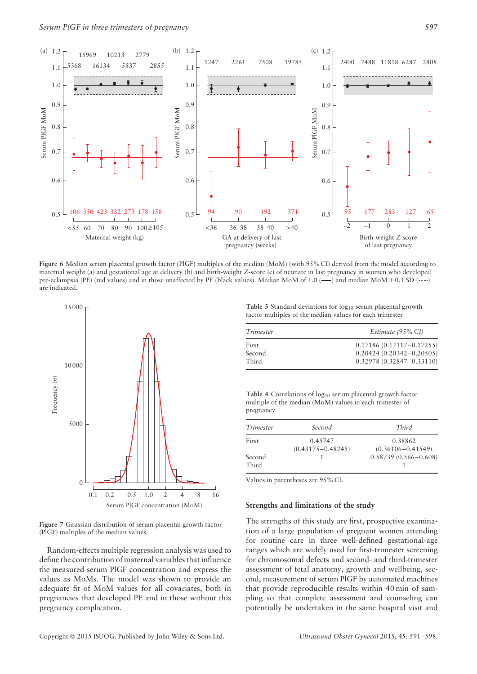

**Figure 6** Median serum placental growth factor (PlGF) multiples of the median (MoM) (with 95% CI) derived from the model according to maternal weight (a) and gestational age at delivery (b) and birth-weight *Z*-score (c) of neonate in last pregnancy in women who developed pre-eclampsia (PE) (red values) and in those unaffected by PE (black values). Median MoM of 1.0 (—) and median MoM $\pm$  0.1 SD (----) are indicated.



**Figure 7** Gaussian distribution of serum placental growth factor (PlGF) multiples of the median values.

Random-effects multiple regression analysis was used to define the contribution of maternal variables that influence the measured serum PlGF concentration and express the values as MoMs. The model was shown to provide an adequate fit of MoM values for all covariates, both in pregnancies that developed PE and in those without this pregnancy complication.

**Table 3** Standard deviations for log<sub>10</sub> serum placental growth factor multiples of the median values for each trimester

| Trimester       | Estimate (95% CI)                                            |  |  |
|-----------------|--------------------------------------------------------------|--|--|
| First<br>Second | $0.17186(0.17117 - 0.17255)$<br>$0.20424(0.20342 - 0.20505)$ |  |  |
| Third           | $0.32978(0.32847 - 0.33110)$                                 |  |  |

Table 4 Correlations of log<sub>10</sub> serum placental growth factor multiple of the median (MoM) values in each trimester of pregnancy

| Trimester       | Second                           | Third                            |
|-----------------|----------------------------------|----------------------------------|
| First           | 0.45747<br>$(0.43175 - 0.48245)$ | 0.38862<br>$(0.36106 - 0.41549)$ |
| Second<br>Third |                                  | $0.58739(0.566 - 0.608)$         |

Values in parentheses are 95% CI.

#### **Strengths and limitations of the study**

The strengths of this study are first, prospective examination of a large population of pregnant women attending for routine care in three well-defined gestational-age ranges which are widely used for first-trimester screening for chromosomal defects and second- and third-trimester assessment of fetal anatomy, growth and wellbeing, second, measurement of serum PlGF by automated machines that provide reproducible results within 40 min of sampling so that complete assessment and counseling can potentially be undertaken in the same hospital visit and